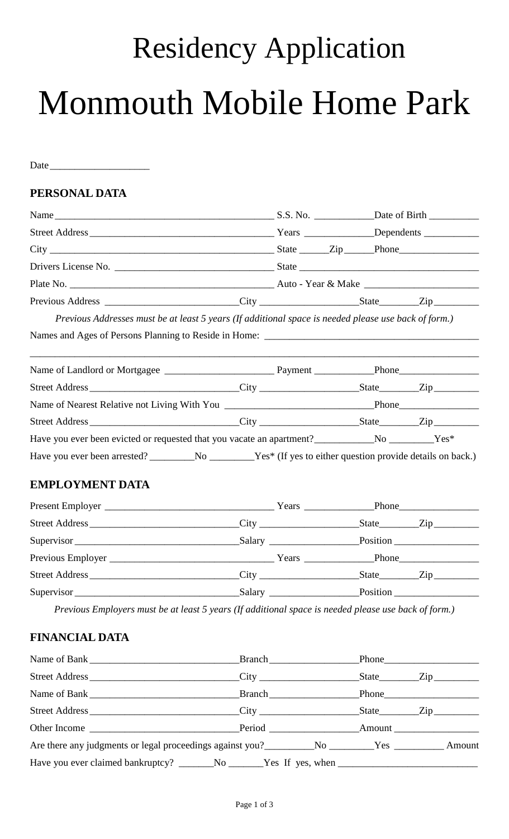# Residency Application Monmouth Mobile Home Park

Date

## **PERSONAL DATA**

| Name S.S. No. Date of Birth |  |
|-----------------------------|--|
|                             |  |
|                             |  |
|                             |  |
|                             |  |
|                             |  |

*Previous Addresses must be at least 5 years (If additional space is needed please use back of form.)*

Names and Ages of Persons Planning to Reside in Home: \_\_\_\_\_\_\_\_\_\_\_\_\_\_\_\_\_\_\_\_\_\_\_\_\_\_\_\_\_\_\_\_\_\_\_\_\_\_\_\_\_\_\_

| Have you ever been evicted or requested that you vacate an apartment? No No No Nest Ves <sup>*</sup> |  |  |
|------------------------------------------------------------------------------------------------------|--|--|
| Have you ever been arrested? No No Nest (If yes to either question provide details on back.)         |  |  |

\_\_\_\_\_\_\_\_\_\_\_\_\_\_\_\_\_\_\_\_\_\_\_\_\_\_\_\_\_\_\_\_\_\_\_\_\_\_\_\_\_\_\_\_\_\_\_\_\_\_\_\_\_\_\_\_\_\_\_\_\_\_\_\_\_\_\_\_\_\_\_\_\_\_\_\_\_\_\_\_\_\_\_\_\_\_\_\_\_\_

## **EMPLOYMENT DATA**

|            |        | State <u>Zip</u> |
|------------|--------|------------------|
| Supervisor |        | Position         |
|            |        |                  |
|            |        | State Zip        |
| Supervisor | Salary | Position         |

*Previous Employers must be at least 5 years (If additional space is needed please use back of form.)*

## **FINANCIAL DATA**

|                                                                                                |  | State Zip |
|------------------------------------------------------------------------------------------------|--|-----------|
| Name of Bank <b>Example 2</b> Branch <b>Example 2</b> Branch <b>Phone Phone</b>                |  |           |
|                                                                                                |  |           |
|                                                                                                |  |           |
| Are there any judgments or legal proceedings against you? Mo Solar Mo Solar Mo Solar Mo Amount |  |           |
|                                                                                                |  |           |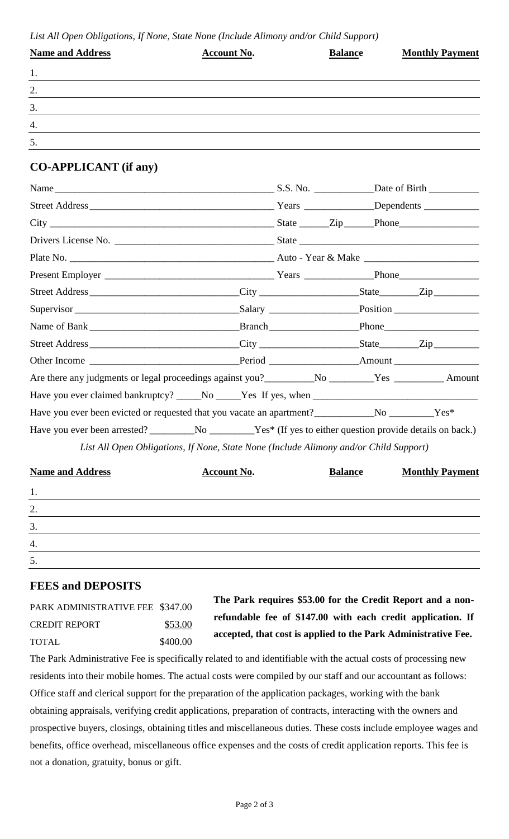| <b>Name and Address</b> | <b>Account No.</b> | <b>Balance</b> | <b>Monthly Payment</b> |
|-------------------------|--------------------|----------------|------------------------|
| 1.                      |                    |                |                        |
| 2.                      |                    |                |                        |
| 3.                      |                    |                |                        |
| $\boldsymbol{4}$ .      |                    |                |                        |
| 5.                      |                    |                |                        |

## **CO-APPLICANT (if any)**

| Are there any judgments or legal proceedings against you?____________No _________Yes _____________Amount             |  |  |  |
|----------------------------------------------------------------------------------------------------------------------|--|--|--|
|                                                                                                                      |  |  |  |
| Have you ever been evicted or requested that you vacate an apartment?<br>No ___________Yes*                          |  |  |  |
| Have you ever been arrested? ______________________________Yes* (If yes to either question provide details on back.) |  |  |  |

*List All Open Obligations, If None, State None (Include Alimony and/or Child Support)*

| <b>Name and Address</b> | <b>Account No.</b> | <b>Balance</b> | <b>Monthly Payment</b> |
|-------------------------|--------------------|----------------|------------------------|
| 1.                      |                    |                |                        |
| 2.                      |                    |                |                        |
| 3.                      |                    |                |                        |
| $\boldsymbol{4}$ .      |                    |                |                        |
| 5.                      |                    |                |                        |

#### **FEES and DEPOSITS**

| PARK ADMINISTRATIVE FEE \$347.00 |          |
|----------------------------------|----------|
| <b>CREDIT REPORT</b>             | \$53.00  |
| TOTAL                            | \$400.00 |

**The Park requires \$53.00 for the Credit Report and a nonrefundable fee of \$147.00 with each credit application. If accepted, that cost is applied to the Park Administrative Fee.**

The Park Administrative Fee is specifically related to and identifiable with the actual costs of processing new residents into their mobile homes. The actual costs were compiled by our staff and our accountant as follows: Office staff and clerical support for the preparation of the application packages, working with the bank obtaining appraisals, verifying credit applications, preparation of contracts, interacting with the owners and prospective buyers, closings, obtaining titles and miscellaneous duties. These costs include employee wages and benefits, office overhead, miscellaneous office expenses and the costs of credit application reports. This fee is not a donation, gratuity, bonus or gift.